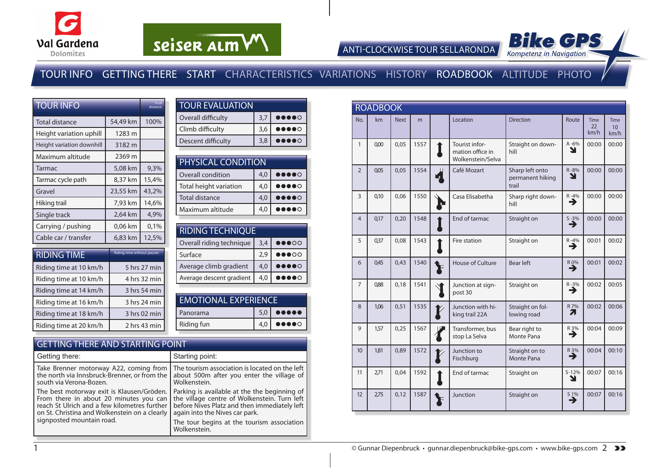



ANTI-CLOCKWISE TOUR SELLARONDA

### TOUR INFO GETTING THERE START CHARACTERISTICS VARIATIONS HISTORY ROADBOOK ALTITUDE PHOTO

| <b>TOUR INFO</b>          | % of<br>distance                  |       |
|---------------------------|-----------------------------------|-------|
| <b>Total distance</b>     | 54,49 km                          | 100%  |
| Height variation uphill   | 1283 m                            |       |
| Height variation downhill | 3182 m                            |       |
| Maximum altitude          | 2369 m                            |       |
| Tarmac                    | 5,08 km                           | 9,3%  |
| Tarmac cycle path         | 8,37 km                           | 15,4% |
| Gravel                    | 23,55 km                          | 43.2% |
| Hiking trail              | 7,93 km                           | 14,6% |
| Single track              | 2,64 km                           | 4,9%  |
| Carrying / pushing        | 0,06 km                           | 0,1%  |
| Cable car / transfer      | 6,83 km                           | 12,5% |
| <b>DIDILLOTILIP</b>       | <b>Riding time without pauces</b> |       |

| <b>RIDING TIME</b>     | Riding time without pauses |
|------------------------|----------------------------|
| Riding time at 10 km/h | 5 hrs 27 min               |
| Riding time at 10 km/h | 4 hrs 32 min               |
| Riding time at 14 km/h | 3 hrs 54 min               |
| Riding time at 16 km/h | 3 hrs 24 min               |
| Riding time at 18 km/h | 3 hrs 02 min               |
| Riding time at 20 km/h | 2 hrs 43 min               |

| <b>TOUR EVALUATION</b> |     |                                                                        |
|------------------------|-----|------------------------------------------------------------------------|
| Overall difficulty     | 3.7 | $\bullet\bullet\bullet\bullet\circ$                                    |
| Climb difficulty       | 3,6 | $\begin{array}{cc} \bullet\bullet\bullet\bullet\circ\circ \end{array}$ |
| Descent difficulty     | 3.8 | $\bullet\bullet\bullet\circ$                                           |

| <b>PHYSICAL CONDITION</b> |     |                                                                                                                                                                                                                                                                                                                                                     |  |  |  |  |  |
|---------------------------|-----|-----------------------------------------------------------------------------------------------------------------------------------------------------------------------------------------------------------------------------------------------------------------------------------------------------------------------------------------------------|--|--|--|--|--|
| Overall condition         | 4,0 | $\begin{picture}(20,20) \put(0,0){\line(1,0){10}} \put(15,0){\line(1,0){10}} \put(15,0){\line(1,0){10}} \put(15,0){\line(1,0){10}} \put(15,0){\line(1,0){10}} \put(15,0){\line(1,0){10}} \put(15,0){\line(1,0){10}} \put(15,0){\line(1,0){10}} \put(15,0){\line(1,0){10}} \put(15,0){\line(1,0){10}} \put(15,0){\line(1,0){10}} \put(15,0){\line(1$ |  |  |  |  |  |
| Total height variation    | 4,0 | $\bullet\bullet\bullet\circ$                                                                                                                                                                                                                                                                                                                        |  |  |  |  |  |
| <b>Total distance</b>     | 4,0 | $\bullet\bullet\bullet\circ$                                                                                                                                                                                                                                                                                                                        |  |  |  |  |  |
| Maximum altitude          | 4.0 | $\bullet\bullet\bullet\circ$                                                                                                                                                                                                                                                                                                                        |  |  |  |  |  |

| <b>RIDING TECHNIQUE</b>  |     |                                   |  |  |  |  |  |  |
|--------------------------|-----|-----------------------------------|--|--|--|--|--|--|
| Overall riding technique | 3,4 | $\bullet\bullet\bullet\circ\circ$ |  |  |  |  |  |  |
| Surface                  | 2.9 | $\bullet\bullet\bullet\circ\circ$ |  |  |  |  |  |  |
| Average climb gradient   | 4,0 | $\bullet\bullet\bullet\circ$      |  |  |  |  |  |  |
| Average descent gradient | 4.0 |                                   |  |  |  |  |  |  |

| <b>EMOTIONAL EXPERIENCE</b> |  |                                               |  |  |  |  |
|-----------------------------|--|-----------------------------------------------|--|--|--|--|
| Panorama                    |  | $5,0$ $\bullet$ $\bullet$ $\bullet$           |  |  |  |  |
| Riding fun                  |  | $4,0$ $\bullet \bullet \bullet \bullet \circ$ |  |  |  |  |
|                             |  |                                               |  |  |  |  |

#### GETTING THERE AND STARTING POINT

| Getting there:                                | Starting point:                                |
|-----------------------------------------------|------------------------------------------------|
| Take Brenner motorway A22, coming from        | The tourism association is located on the left |
| the north via Innsbruck-Brenner, or from the  | about 500m after you enter the village of      |
| south via Verona-Bozen.                       | Wolkenstein.                                   |
| The best motorway exit is Klausen/Gröden.     | Parking is available at the the beginning of   |
| From there in about 20 minutes you can        | the village centre of Wolkenstein. Turn left   |
| reach St Ulrich and a few kilometres further  | before Nives Platz and then immediately left   |
| on St. Christina and Wolkenstein on a clearly | again into the Nives car park.                 |
| signposted mountain road.                     | The tour begins at the tourism association     |
|                                               | Wolkenstein.                                   |

|                  | <b>ROADBOOK</b> |             |      |                                                         |                                              |                    |                                 |                           |
|------------------|-----------------|-------------|------|---------------------------------------------------------|----------------------------------------------|--------------------|---------------------------------|---------------------------|
| No.              | km              | <b>Next</b> | m    | Location                                                | <b>Direction</b>                             | Route              | <b>Time</b><br>$22^{1}$<br>km/h | <b>Time</b><br>10<br>km/h |
| $\mathbf{1}$     | 0,00            | 0,05        | 1557 | Tourist infor-<br>mation office in<br>Wolkenstein/Selva | Straight on down-<br>hill                    | $A - 6%$<br>צ      | 00:00                           | 00:00                     |
| $\overline{2}$   | 0,05            | 0,05        | 1554 | Café Mozart                                             | Sharp left onto<br>permanent hiking<br>trail | R-8%<br>N          | 00:00                           | 00:00                     |
| $\overline{3}$   | 0.10            | 0,06        | 1550 | Casa Elisabetha                                         | Sharp right down-<br>hill                    | $R - 4%$<br>→      | 00:00                           | 00:00                     |
| $\overline{4}$   | 0,17            | 0,20        | 1548 | End of tarmac                                           | Straight on                                  | $\sum_{ }^{5-3\%}$ | 00:00                           | 00:00                     |
| 5                | 037             | 0,08        | 1543 | Fire station                                            | Straight on                                  | $R - 4%$<br>→      | 00:01                           | 00:02                     |
| 6                | 0,45            | 0,43        | 1540 | House of Culture                                        | <b>Bear left</b>                             | R 0%<br>→          | 00:01                           | 00:02                     |
| $\overline{7}$   | 0,88            | 0,18        | 1541 | Junction at sign-<br>post 30                            | Straight on                                  | $R - 3\%$          | 00:02                           | 00:05                     |
| 8                | 1.06            | 0,51        | 1535 | Junction with hi-<br>king trail 22A                     | Straight on fol-<br>lowing road              | R 7%<br>71         | 00:02                           | 00:06                     |
| 9                | 1,57            | 0,25        | 1567 | Transformer, bus<br>stop La Selva                       | Bear right to<br>Monte Pana                  | R 3%<br>∍          | 00:04                           | 00:09                     |
| 10 <sup>10</sup> | 181             | 0,89        | 1572 | Junction to<br>Fischburg                                | Straight on to<br>Monte Pana                 | R 3%<br>→          | 00:04                           | 00:10                     |
| 11               | 2,71            | 0,04        | 1592 | End of tarmac                                           | Straight on                                  | $S - 12%$<br>N     | 00:07                           | 00:16                     |
| 12               | 2,75            | 0,12        | 1587 | Junction                                                | Straight on                                  | S 1%<br>→          | 00:07                           | 00:16                     |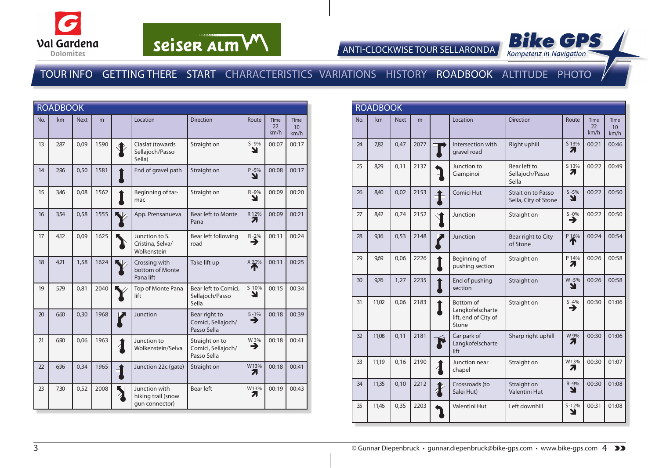





|     | <b>ROADBOOK</b> |             |      |                                                       |                                                     |                      |                           |                                         |
|-----|-----------------|-------------|------|-------------------------------------------------------|-----------------------------------------------------|----------------------|---------------------------|-----------------------------------------|
| No. | km              | <b>Next</b> | m    | Location                                              | <b>Direction</b>                                    | Route                | <b>Time</b><br>22<br>km/h | <b>Time</b><br>10 <sup>10</sup><br>km/h |
| 13  | 2,87            | 0,09        | 1590 | Ciaslat (towards<br>Sellajoch/Passo<br>Sella)         | Straight on                                         | $S - 9%$<br>צ        | 00:07                     | 00:17                                   |
| 14  | 2,96            | 0,50        | 1581 | End of gravel path                                    | Straight on                                         | $P - 5%$<br>↘        | 00:08                     | 00:17                                   |
| 15  | 3,46            | 0,08        | 1562 | Beginning of tar-<br>mac                              | Straight on                                         | R-9%<br>N            | 00:09                     | 00:20                                   |
| 16  | 3,54            | 0,58        | 1555 | App. Prensanueva                                      | <b>Bear left to Monte</b><br>Pana                   | R 12%<br>7.          | 00:09                     | 00:21                                   |
| 17  | 4,12            | 0.09        | 1625 | Junction to S.<br>Cristina, Selva/<br>Wolkenstein     | Bear left following<br>road                         | $R - 2\%$            | 00:11                     | 00:24                                   |
| 18  | 4,21            | 1,58        | 1624 | Crossing with<br>bottom of Monte<br>Pana lift         | Take lift up                                        | X 20%<br>Т           | 00:11                     | 00:25                                   |
| 19  | 5,79            | 0,81        | 2040 | Top of Monte Pana<br>lift                             | Bear left to Comici,<br>Sellajoch/Passo<br>Sella    | $S-10%$<br>N         | 00:15                     | 00:34                                   |
| 20  | 6,60            | 0,30        | 1968 | Junction                                              | Bear right to<br>Comici, Sellajoch/<br>Passo Sella  | $S - 1%$<br>♦        | 00:18                     | 00:39                                   |
| 21  | 6,90            | 0,06        | 1963 | Junction to<br>Wolkenstein/Selva                      | Straight on to<br>Comici, Sellajoch/<br>Passo Sella | W <sub>3%</sub><br>→ | 00:18                     | 00:41                                   |
| 22  | 6,96            | 0,34        | 1965 | Junction 22c (gate)                                   | Straight on                                         | W13%<br>7.           | 00:18                     | 00:41                                   |
| 23  | 7,30            | 0,52        | 2008 | Junction with<br>hiking trail (snow<br>qun connector) | Bear left                                           | W13%<br>7.           | 00:19                     | 00:43                                   |

|                 | <b>ROADBOOK</b> |             |      |                                                                |                                                   |                |                           |                                         |
|-----------------|-----------------|-------------|------|----------------------------------------------------------------|---------------------------------------------------|----------------|---------------------------|-----------------------------------------|
| No.             | km              | <b>Next</b> | m    | Location                                                       | <b>Direction</b>                                  | Route          | <b>Time</b><br>22<br>km/h | <b>Time</b><br>10 <sup>10</sup><br>km/h |
| 24              | 7,82            | 0,47        | 2077 | Intersection with<br>gravel road                               | Right uphill                                      | S 13%<br>71    | 00:21                     | 00:46                                   |
| 25              | 8,29            | 0,11        | 2137 | Junction to<br>Ciampinoi                                       | Bear left to<br>Sellajoch/Passo<br>Sella          | S 13%<br>71    | 00:22                     | 00:49                                   |
| 26              | 8,40            | 0,02        | 2153 | Comici Hut                                                     | <b>Strait on to Passo</b><br>Sella, City of Stone | $S - 5\%$<br>N | 00:22                     | 00:50                                   |
| 27              | 8,42            | 0,74        | 2152 | Junction                                                       | Straight on                                       | $S - 0\%$<br>→ | 00:22                     | 00:50                                   |
| 28              | 9,16            | 0,53        | 2148 | Junction                                                       | Bear right to City<br>of Stone                    | P 16%          | 00:24                     | 00:54                                   |
| 29              | 969             | 0,06        | 2226 | Beginning of<br>pushing section                                | Straight on                                       | P 14%<br>71    | 00:26                     | 00:58                                   |
| 30 <sup>2</sup> | 9,76            | 1,27        | 2235 | End of pushing<br>section                                      | Straight on                                       | W-5%<br>Y      | 00:26                     | 00:58                                   |
| 31              | 11,02           | 0,06        | 2183 | Bottom of<br>Langkofelscharte<br>lift, end of City of<br>Stone | Straight on                                       | $S - 4%$<br>→  | 00:30                     | 01:06                                   |
| 32              | 11.08           | 0.11        | 2181 | Car park of<br>Langkofelscharte<br>lift                        | Sharp right uphill                                | W 9%<br>71     | 00:30                     | 01:06                                   |
| 33              | 11,19           | 0,16        | 2190 | Junction near<br>chapel                                        | Straight on                                       | W13%<br>71     | 00:30                     | 01:07                                   |
| 34              | 11,35           | 0,10        | 2212 | Crossroads (to<br>Salei Hut)                                   | Straight on<br><b>Valentini Hut</b>               | R-9%<br>Y      | 00:30                     | 01:08                                   |
| 35              | 11,46           | 0,35        | 2203 | <b>Valentini Hut</b>                                           | Left downhill                                     | $S - 12%$<br>ע | 00:31                     | 01:08                                   |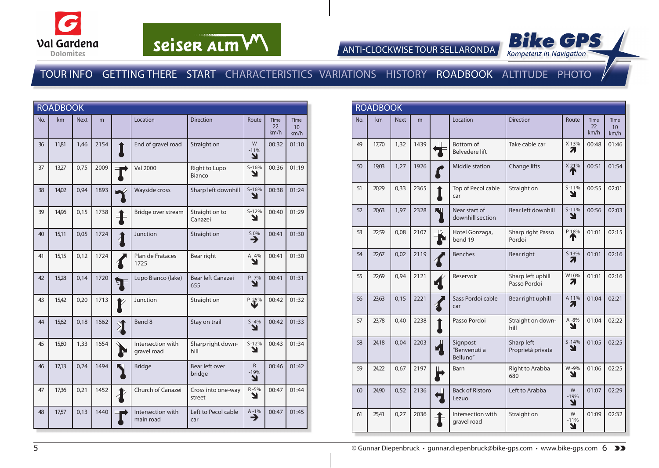





|     | <b>ROADBOOK</b> |             |      |                  |                                  |                              |                               |                           |                                        |
|-----|-----------------|-------------|------|------------------|----------------------------------|------------------------------|-------------------------------|---------------------------|----------------------------------------|
| No. | km              | <b>Next</b> | m    |                  | Location                         | <b>Direction</b>             | Route                         | <b>Time</b><br>22<br>km/h | <b>Time</b><br>10 <sup>1</sup><br>km/h |
| 36  | 11,81           | 1,46        | 2154 |                  | End of gravel road               | Straight on                  | W<br>$-11%$<br>N              | 00:32                     | 01:10                                  |
| 37  | 13,27           | 0,75        | 2009 |                  | <b>Val 2000</b>                  | Right to Lupo<br>Bianco      | $S-16%$<br>N                  | 00:36                     | 01:19                                  |
| 38  | 14,02           | 0,94        | 1893 |                  | Wayside cross                    | Sharp left downhill          | $S-16%$<br>N                  | 00:38                     | 01:24                                  |
| 39  | 14,96           | 0,15        | 1738 | $\ddagger$       | Bridge over stream               | Straight on to<br>Canazei    | $S-12%$<br>N                  | 00:40                     | 01:29                                  |
| 40  | 15,11           | 0,05        | 1724 |                  | Junction                         | Straight on                  | $\overset{50\%}{\rightarrow}$ | 00:41                     | 01:30                                  |
| 41  | 15,15           | 0,12        | 1724 |                  | Plan de Frataces<br>1725         | Bear right                   | $A - 4%$<br>N                 | 00:41                     | 01:30                                  |
| 42  | 15,28           | 0,14        | 1720 | ⋚                | Lupo Bianco (lake)               | Bear left Canazei<br>655     | $P - 7%$<br>Y                 | 00:41                     | 01:31                                  |
| 43  | 15,42           | 0,20        | 1713 |                  | Junction                         | Straight on                  | $P - 25%$                     | 00:42                     | 01:32                                  |
| 44  | 15,62           | 0,18        | 1662 | $\sum_{i=1}^{n}$ | Bend 8                           | Stay on trail                | $S - 4%$<br>Y                 | 00:42                     | 01:33                                  |
| 45  | 15,80           | 1,33        | 1654 | L.               | Intersection with<br>gravel road | Sharp right down-<br>hill    | $S-12%$<br>Y                  | 00:43                     | 01:34                                  |
| 46  | 17,13           | 0,24        | 1494 |                  | <b>Bridge</b>                    | Bear left over<br>bridge     | R<br>$-19%$<br>Y              | 00:46                     | 01:42                                  |
| 47  | 17,36           | 0,21        | 1452 |                  | Church of Canazei                | Cross into one-way<br>street | R-5%<br>Y                     | 00:47                     | 01:44                                  |
| 48  | 17,57           | 0,13        | 1440 |                  | Intersection with<br>main road   | Left to Pecol cable<br>car   | $A - 1%$<br>⊣                 | 00:47                     | 01:45                                  |

|     | <b>ROADBOOK</b> |             |      |   |                                           |                                   |                  |                    |                                 |  |
|-----|-----------------|-------------|------|---|-------------------------------------------|-----------------------------------|------------------|--------------------|---------------------------------|--|
| No. | km              | <b>Next</b> | m    |   | Location                                  | <b>Direction</b>                  | Route            | Time<br>22<br>km/h | Time<br>10 <sup>1</sup><br>km/h |  |
| 49  | 17,70           | 1,32        | 1439 |   | <b>Bottom</b> of<br><b>Belvedere lift</b> | Take cable car                    | X 13%<br>7.      | 00:48              | 01:46                           |  |
| 50  | 19,03           | 1,27        | 1926 |   | Middle station                            | Change lifts                      | X 21%<br>Т       | 00:51              | 01:54                           |  |
| 51  | 20,29           | 0,33        | 2365 |   | Top of Pecol cable<br>car                 | Straight on                       | $S-11%$<br>۷     | 00:55              | 02:01                           |  |
| 52  | 20,63           | 1,97        | 2328 | N | Near start of<br>downhill section         | Bear left downhill                | $S-11%$<br>Y     | 00:56              | 02:03                           |  |
| 53  | 22,59           | 0.08        | 2107 |   | Hotel Gonzaga,<br>bend 19                 | Sharp right Passo<br>Pordoi       | P 18%            | 01:01              | 02:15                           |  |
| 54  | 22,67           | 0,02        | 2119 |   | <b>Benches</b>                            | Bear right                        | S13%<br>Л        | 01:01              | 02:16                           |  |
| 55  | 22,69           | 0,94        | 2121 |   | Reservoir                                 | Sharp left uphill<br>Passo Pordoi | W10%<br>71       | 01:01              | 02:16                           |  |
| 56  | 23,63           | 0,15        | 2221 |   | Sass Pordoi cable<br>car                  | Bear right uphill                 | A 11%<br>71      | 01:04              | 02:21                           |  |
| 57  | 23,78           | 0.40        | 2238 |   | Passo Pordoi                              | Straight on down-<br>hill         | $A - 8%$<br>Y    | 01:04              | 02:22                           |  |
| 58  | 24,18           | 0.04        | 2203 |   | Signpost<br>"Benvenuti a<br>Belluno"      | Sharp left<br>Proprietà privata   | $S - 14%$<br>Y   | 01:05              | 02:25                           |  |
| 59  | 24,22           | 0.67        | 2197 |   | Barn                                      | Right to Arabba<br>680            | W-9%<br>Y        | 01:06              | 02:25                           |  |
| 60  | 24,90           | 0,52        | 2136 |   | <b>Back of Ristoro</b><br>Lezuo           | Left to Arabba                    | W<br>$-19%$<br>N | 01:07              | 02:29                           |  |
| 61  | 25,41           | 0,27        | 2036 |   | Intersection with<br>gravel road          | Straight on                       | W<br>$-11%$<br>Y | 01:09              | 02:32                           |  |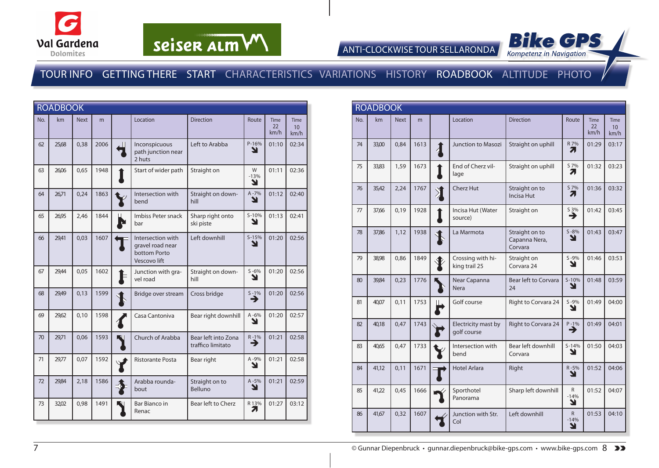





|     | <b>ROADBOOK</b> |             |      |                                                                       |                                          |                  |                           |                                 |
|-----|-----------------|-------------|------|-----------------------------------------------------------------------|------------------------------------------|------------------|---------------------------|---------------------------------|
| No. | km              | <b>Next</b> | m    | Location                                                              | <b>Direction</b>                         | Route            | <b>Time</b><br>22<br>km/h | Time<br>10 <sup>1</sup><br>km/h |
| 62  | 25,68           | 0,38        | 2006 | Inconspicuous<br>path junction near<br>2 huts                         | Left to Arabba                           | P-16%<br>Y       | 01:10                     | 02:34                           |
| 63  | 26,06           | 0,65        | 1948 | Start of wider path                                                   | Straight on                              | W<br>$-13%$<br>Y | 01:11                     | 02:36                           |
| 64  | 26,71           | 0,24        | 1863 | Intersection with<br>bend                                             | Straight on down-<br>hill                | A-7%<br>וב       | 01:12                     | 02:40                           |
| 65  | 26,95           | 2,46        | 1844 | Imbiss Peter snack<br>bar                                             | Sharp right onto<br>ski piste            | $S-10%$<br>N     | 01:13                     | 02:41                           |
| 66  | 29,41           | 0,03        | 1607 | Intersection with<br>gravel road near<br>bottom Porto<br>Vescovo lift | Left downhill                            | $S-15%$<br>ע     | 01:20                     | 02:56                           |
| 67  | 29,44           | 0,05        | 1602 | Junction with gra-<br>vel road                                        | Straight on down-<br>hill                | $S - 6%$<br>N    | 01:20                     | 02:56                           |
| 68  | 29,49           | 0,13        | 1599 | Bridge over stream                                                    | Cross bridge                             | $S - 1%$<br>→    | 01:20                     | 02:56                           |
| 69  | 29,62           | 0,10        | 1598 | Casa Cantoniva                                                        | Bear right downhill                      | A-6%<br>N        | 01:20                     | 02:57                           |
| 70  | 29,71           | 0,06        | 1593 | Church of Arabba                                                      | Bear left into Zona<br>traffico limitato | $R - 1%$<br>→    | 01:21                     | 02:58                           |
| 71  | 29,77           | 0,07        | 1592 | <b>Ristorante Posta</b>                                               | Bear right                               | A-9%<br>Y        | 01:21                     | 02:58                           |
| 72  | 29,84           | 2,18        | 1586 | Arabba rounda-<br>bout                                                | Straight on to<br>Belluno                | A-5%<br>Y        | 01:21                     | 02:59                           |
| 73  | 32,02           | 0,98        | 1491 | <b>Bar Bianco in</b><br>Renac                                         | Bear left to Cherz                       | R 13%<br>7       | 01:27                     | 03:12                           |

|     | <b>ROADBOOK</b> |             |      |                     |                                    |                                            |                             |                           |                                 |
|-----|-----------------|-------------|------|---------------------|------------------------------------|--------------------------------------------|-----------------------------|---------------------------|---------------------------------|
| No. | km              | <b>Next</b> | m    |                     | Location                           | <b>Direction</b>                           | Route                       | <b>Time</b><br>22<br>km/h | Time<br>10 <sup>°</sup><br>km/h |
| 74  | 33,00           | 0,84        | 1613 | $\boldsymbol{\eta}$ | <b>Junction to Masozi</b>          | Straight on uphill                         | R 7%<br>71                  | 01:29                     | 03:17                           |
| 75  | 33,83           | 1,59        | 1673 |                     | End of Cherz vil-<br>lage          | Straight on uphill                         | S 7%<br>7                   | 01:32                     | 03:23                           |
| 76  | 35,42           | 2,24        | 1767 |                     | <b>Cherz Hut</b>                   | Straight on to<br>Incisa Hut               | S 7%<br>71                  | 01:36                     | 03:32                           |
| 77  | 37,66           | 0,19        | 1928 |                     | Incisa Hut (Water<br>source)       | Straight on                                | $\overrightarrow{3\%}$      | 01:42                     | 03:45                           |
| 78  | 37,86           | 1,12        | 1938 |                     | La Marmota                         | Straight on to<br>Capanna Nera,<br>Corvara | $S - 8%$<br>Y               | 01:43                     | 03:47                           |
| 79  | 38,98           | 0,86        | 1849 |                     | Crossing with hi-<br>king trail 25 | Straight on<br>Corvara 24                  | $S - 9%$<br>N               | 01:46                     | 03:53                           |
| 80  | 39,84           | 0,23        | 1776 |                     | Near Capanna<br><b>Nera</b>        | Bear left to Corvara<br>24                 | $S-10%$<br>N                | 01:48                     | 03:59                           |
| 81  | 40,07           | 0,11        | 1753 |                     | Golf course                        | Right to Corvara 24                        | $S - 9%$<br>N               | 01:49                     | 04:00                           |
| 82  | 40,18           | 0.47        | 1743 |                     | Electricity mast by<br>golf course | Right to Corvara 24                        | $P - 1%$<br>→               | 01:49                     | 04:01                           |
| 83  | 40,65           | 0.47        | 1733 |                     | Intersection with<br>bend          | Bear left downhill<br>Corvara              | $S - 14%$<br>N              | 01:50                     | 04:03                           |
| 84  | 41,12           | 0.11        | 1671 |                     | <b>Hotel Arlara</b>                | Right                                      | $R - 5%$<br>N               | 01:52                     | 04:06                           |
| 85  | 41,22           | 0.45        | 1666 |                     | Sporthotel<br>Panorama             | Sharp left downhill                        | R.<br>$-14%$<br>N           | 01:52                     | 04:07                           |
| 86  | 41,67           | 0,32        | 1607 |                     | Junction with Str.<br>Col          | Left downhill                              | $\mathsf{R}$<br>$-14%$<br>Y | 01:53                     | 04:10                           |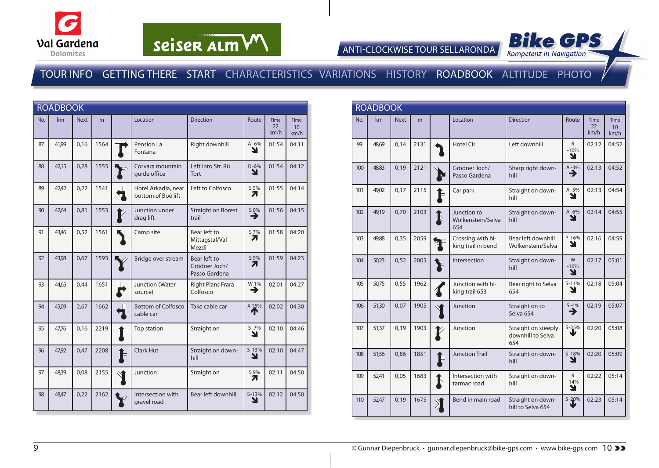



ANTI-CLOCKWISE TOUR SELLARONDA



|     | <b>ROADBOOK</b> |             |      |                              |                                           |                                                |                       |                           |                                        |
|-----|-----------------|-------------|------|------------------------------|-------------------------------------------|------------------------------------------------|-----------------------|---------------------------|----------------------------------------|
| No. | km              | <b>Next</b> | m    |                              | Location                                  | <b>Direction</b>                               | Route                 | <b>Time</b><br>22<br>km/h | <b>Time</b><br>10 <sup>°</sup><br>km/h |
| 87  | 41,99           | 0,16        | 1564 |                              | Pension La<br>Fontana                     | Right downhill                                 | $A - 6%$<br>N         | 01:54                     | 04:11                                  |
| 88  | 42,15           | 0,28        | 1555 |                              | Corvara mountain<br>quide office          | Left into Str. Rü<br>Tort                      | R-6%<br>N             | 01:54                     | 04:12                                  |
| 89  | 42,42           | 0,22        | 1541 | Ш                            | Hotel Arkadia, near<br>bottom of Boè lift | Left to Colfosco                               | S 5%<br>7             | 01:55                     | 04:14                                  |
| 90  | 42,64           | 0,81        | 1553 |                              | Junction under<br>drag lift               | <b>Straight on Borest</b><br>trail             | $\sum_{n=1}^{\infty}$ | 01:56                     | 04:15                                  |
| 91  | 43,46           | 0,52        | 1561 |                              | Camp site                                 | Bear left to<br>Mittagstal/Val<br>Mezdì        | S 7%<br>7             | 01:58                     | 04:20                                  |
| 92  | 43.98           | 0,67        | 1593 |                              | Bridge over stream                        | Bear left to<br>Grödner Joch/<br>Passo Gardena | S 9%<br>Ζ.            | 01:59                     | 04:23                                  |
| 93  | 44,65           | 0,44        | 1651 | Ш<br>$\mathbf{\overline{v}}$ | Junction (Water<br>source)                | Right Plans Frara<br>Colfosco                  | W 1%<br>→             | 02:01                     | 04:27                                  |
| 94  | 45,09           | 2,67        | 1662 | Ш                            | <b>Bottom of Colfosco</b><br>cable car    | Take cable car                                 | $X$ 15%               | 02:02                     | 04:30                                  |
| 95  | 47,76           | 0,16        | 2219 |                              | Top station                               | Straight on                                    | $S - 7%$<br>Y         | 02:10                     | 04:46                                  |
| 96  | 47,92           | 0,47        | 2208 | È                            | Clark Hut                                 | Straight on down-<br>hill                      | $S-13%$<br>Υ          | 02:10                     | 04:47                                  |
| 97  | 48,39           | 0,08        | 2155 |                              | Junction                                  | Straight on                                    | S 9%<br>71            | 02:11                     | 04:50                                  |
| 98  | 48,47           | 0,22        | 2162 |                              | Intersection with<br>gravel road          | Bear left downhill                             | $S-13%$<br>Y          | 02:12                     | 04:50                                  |

|     | <b>ROADBOOK</b> |             |      |                  |                                         |                                                 |                   |                    |                                        |
|-----|-----------------|-------------|------|------------------|-----------------------------------------|-------------------------------------------------|-------------------|--------------------|----------------------------------------|
| No. | km              | <b>Next</b> | m    |                  | Location                                | <b>Direction</b>                                | Route             | Time<br>22<br>km/h | <b>Time</b><br>10 <sup>1</sup><br>km/h |
| 99  | 48,69           | 0,14        | 2131 |                  | <b>Hotel Cir</b>                        | Left downhill                                   | R.<br>$-10%$<br>N | 02:12              | 04:52                                  |
| 100 | 48,83           | 0,19        | 2121 |                  | Grödner Joch/<br>Passo Gardena          | Sharp right down-<br>hill                       | $A - 3%$<br>→     | 02:13              | 04:52                                  |
| 101 | 49,02           | 0,17        | 2115 |                  | Car park                                | Straight on down-<br>hill                       | $A - 5%$<br>Y     | 02:13              | 04:54                                  |
| 102 | 49,19           | 0,70        | 2103 |                  | Junction to<br>Wolkenstein/Selva<br>654 | Straight on down-<br>hill                       | $A - 6%$<br>N     | 02:14              | 04:55                                  |
| 103 | 49,88           | 0,35        | 2059 |                  | Crossing with hi-<br>king trail in bend | Bear left downhill<br>Wolkenstein/Selva         | $P-16%$<br>Y      | 02:16              | 04:59                                  |
| 104 | 50,23           | 0.52        | 2005 |                  | Intersection                            | Straight on down-<br>hill                       | W<br>$-10%$<br>N  | 02:17              | 05:01                                  |
| 105 | 50,75           | 0,55        | 1962 |                  | Junction with hi-<br>king trail 653     | Bear right to Selva<br>654                      | $S-11%$<br>צ      | 02:18              | 05:04                                  |
| 106 | 51,30           | 0,07        | 1905 |                  | Junction                                | Straight on to<br>Selva 654                     | $S - 4%$<br>→     | 02:19              | 05:07                                  |
| 107 | 51,37           | 0,19        | 1903 |                  | Junction                                | Straight on steeply<br>downhill to Selva<br>654 | $S - 25%$         | 02:20              | 05:08                                  |
| 108 | 51,56           | 0,86        | 1851 | E                | <b>Junction Trail</b>                   | Straight on down-<br>hill                       | $S-18%$<br>Y      | 02:20              | 05:09                                  |
| 109 | 52,41           | 0,05        | 1683 |                  | Intersection with<br>tarmac road        | Straight on down-<br>hill                       | R.<br>$-14%$<br>Y | 02:22              | 05:14                                  |
| 110 | 52,47           | 0,19        | 1675 | $\sum_{i=1}^{n}$ | Bend in main road                       | Straight on down-<br>hill to Selva 654          | $S - 20%$         | 02:23              | 05:14                                  |